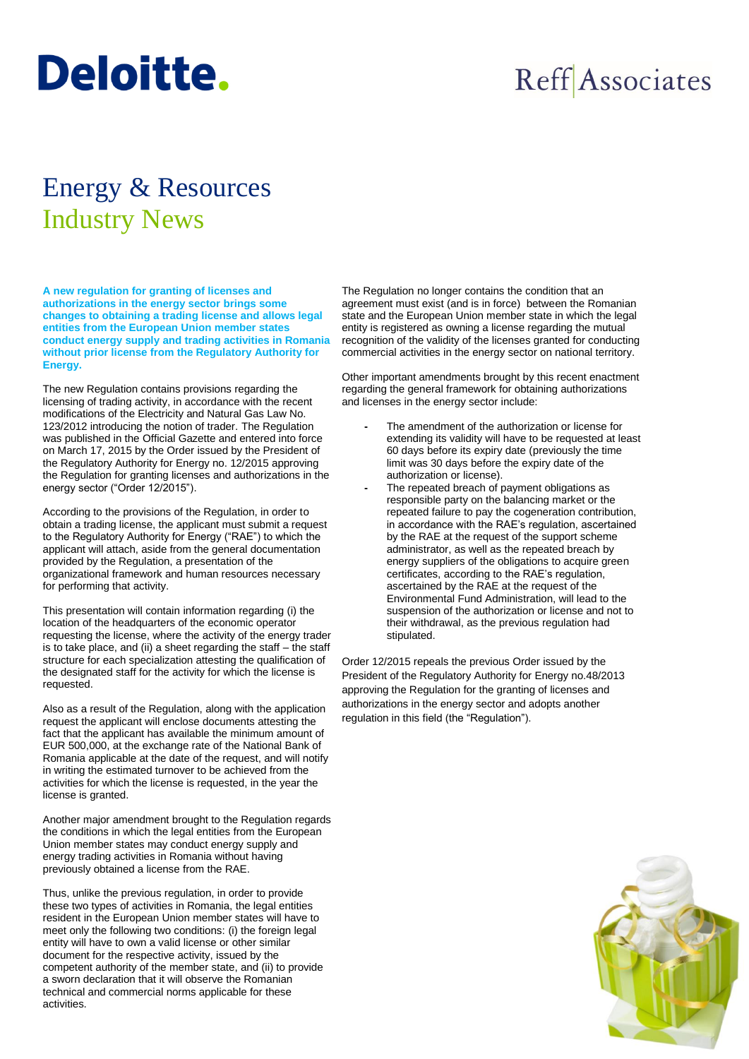## **Deloitte.**

## Reff Associates

## Energy & Resources Industry News

**A new regulation for granting of licenses and authorizations in the energy sector brings some changes to obtaining a trading license and allows legal entities from the European Union member states conduct energy supply and trading activities in Romania without prior license from the Regulatory Authority for Energy.**

The new Regulation contains provisions regarding the licensing of trading activity, in accordance with the recent modifications of the Electricity and Natural Gas Law No. 123/2012 introducing the notion of trader. The Regulation was published in the Official Gazette and entered into force on March 17, 2015 by the Order issued by the President of the Regulatory Authority for Energy no. 12/2015 approving the Regulation for granting licenses and authorizations in the energy sector ("Order 12/2015").

According to the provisions of the Regulation, in order to obtain a trading license, the applicant must submit a request to the Regulatory Authority for Energy ("RAE") to which the applicant will attach, aside from the general documentation provided by the Regulation, a presentation of the organizational framework and human resources necessary for performing that activity.

This presentation will contain information regarding (i) the location of the headquarters of the economic operator requesting the license, where the activity of the energy trader is to take place, and (ii) a sheet regarding the staff – the staff structure for each specialization attesting the qualification of the designated staff for the activity for which the license is requested.

Also as a result of the Regulation, along with the application request the applicant will enclose documents attesting the fact that the applicant has available the minimum amount of EUR 500,000, at the exchange rate of the National Bank of Romania applicable at the date of the request, and will notify in writing the estimated turnover to be achieved from the activities for which the license is requested, in the year the license is granted.

Another major amendment brought to the Regulation regards the conditions in which the legal entities from the European Union member states may conduct energy supply and energy trading activities in Romania without having previously obtained a license from the RAE.

Thus, unlike the previous regulation, in order to provide these two types of activities in Romania, the legal entities resident in the European Union member states will have to meet only the following two conditions: (i) the foreign legal entity will have to own a valid license or other similar document for the respective activity, issued by the competent authority of the member state, and (ii) to provide a sworn declaration that it will observe the Romanian technical and commercial norms applicable for these activities.

The Regulation no longer contains the condition that an agreement must exist (and is in force) between the Romanian state and the European Union member state in which the legal entity is registered as owning a license regarding the mutual recognition of the validity of the licenses granted for conducting commercial activities in the energy sector on national territory.

Other important amendments brought by this recent enactment regarding the general framework for obtaining authorizations and licenses in the energy sector include:

- **-** The amendment of the authorization or license for extending its validity will have to be requested at least 60 days before its expiry date (previously the time limit was 30 days before the expiry date of the authorization or license).
- **-** The repeated breach of payment obligations as responsible party on the balancing market or the repeated failure to pay the cogeneration contribution, in accordance with the RAE's regulation, ascertained by the RAE at the request of the support scheme administrator, as well as the repeated breach by energy suppliers of the obligations to acquire green certificates, according to the RAE's regulation, ascertained by the RAE at the request of the Environmental Fund Administration, will lead to the suspension of the authorization or license and not to their withdrawal, as the previous regulation had stipulated.

Order 12/2015 repeals the previous Order issued by the President of the Regulatory Authority for Energy no.48/2013 approving the Regulation for the granting of licenses and authorizations in the energy sector and adopts another regulation in this field (the "Regulation").